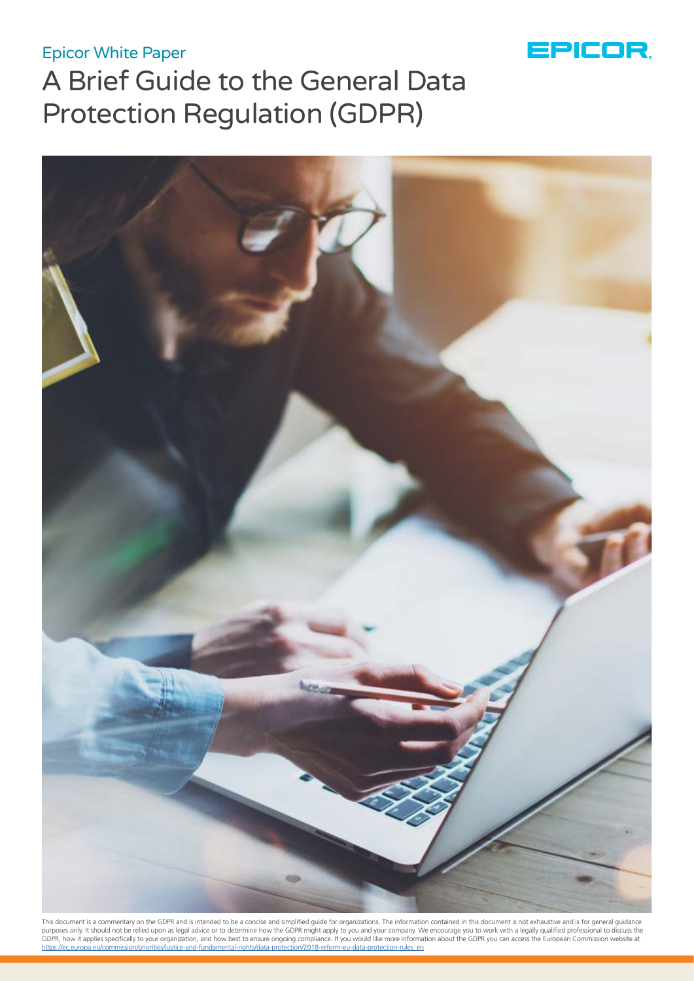# Epicor White Paper



# A Brief Guide to the General Data Protection Regulation (GDPR)



This document is a commentary on the GDPR and is intended to be a concise and simplified guide for organizations. The information contained in this document is not exhaustive and is for general guidance<br>purposes only. It s [https://ec.europa.eu/commission/priorities/justice-and-fundamental-rights/data-protection/2018-reform-eu-data-protection-rules\\_en](https://ec.europa.eu/commission/priorities/justice-and-fundamental-rights/data-protection/2018-refor)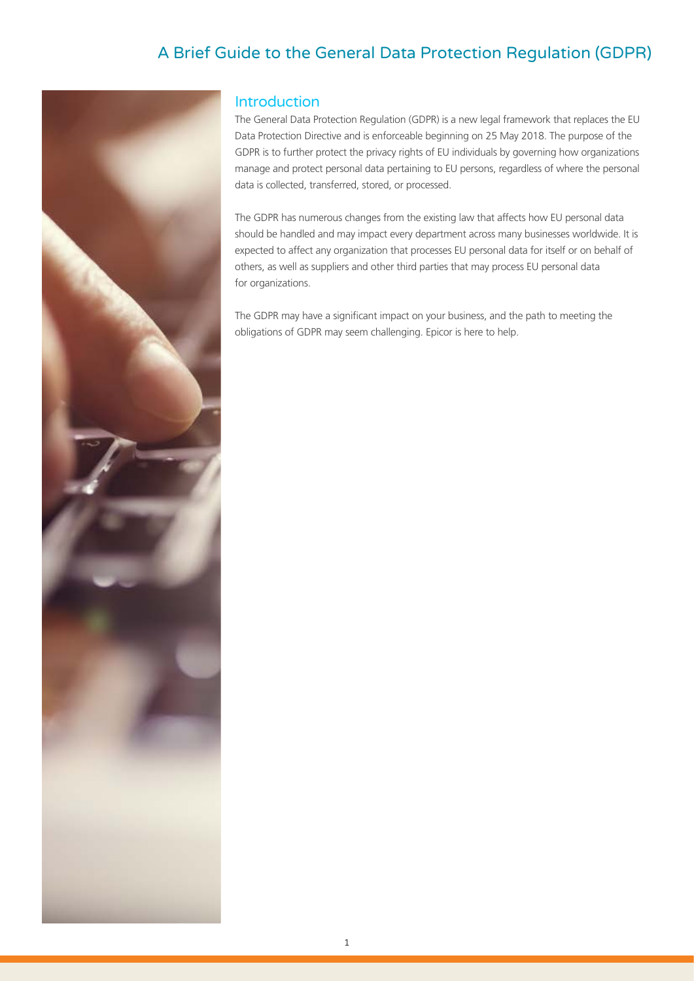# A Brief Guide to the General Data Protection Regulation (GDPR)



# Introduction

The General Data Protection Regulation (GDPR) is a new legal framework that replaces the EU Data Protection Directive and is enforceable beginning on 25 May 2018. The purpose of the GDPR is to further protect the privacy rights of EU individuals by governing how organizations manage and protect personal data pertaining to EU persons, regardless of where the personal data is collected, transferred, stored, or processed.

The GDPR has numerous changes from the existing law that affects how EU personal data should be handled and may impact every department across many businesses worldwide. It is expected to affect any organization that processes EU personal data for itself or on behalf of others, as well as suppliers and other third parties that may process EU personal data for organizations.

The GDPR may have a significant impact on your business, and the path to meeting the obligations of GDPR may seem challenging. Epicor is here to help.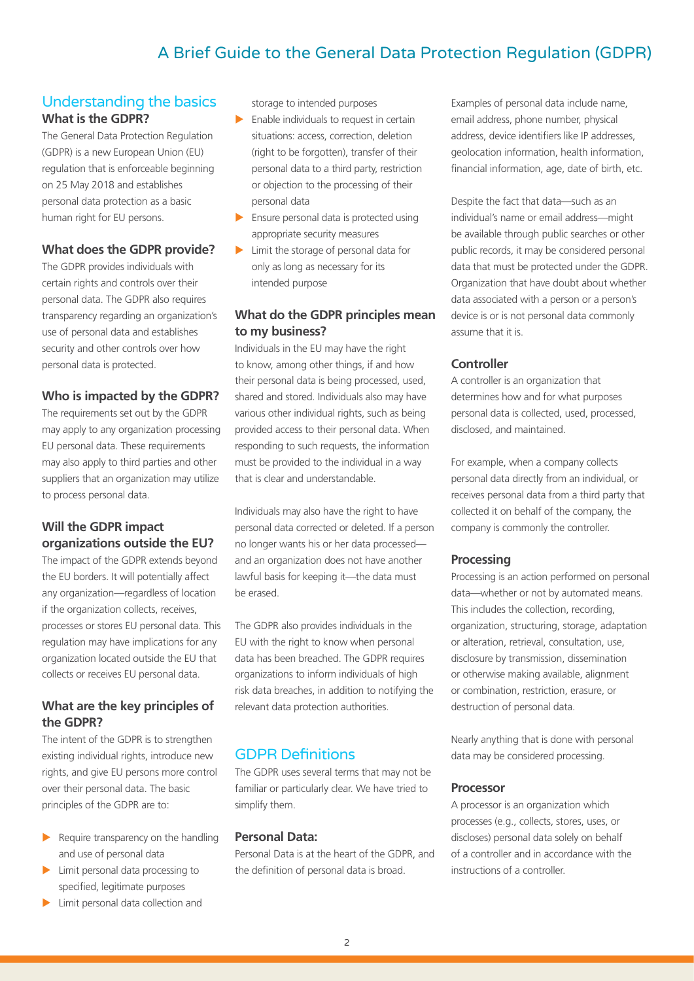# A Brief Guide to the General Data Protection Regulation (GDPR)

#### Understanding the basics **What is the GDPR?**

The General Data Protection Regulation (GDPR) is a new European Union (EU) regulation that is enforceable beginning on 25 May 2018 and establishes personal data protection as a basic human right for EU persons.

#### **What does the GDPR provide?**

The GDPR provides individuals with certain rights and controls over their personal data. The GDPR also requires transparency regarding an organization's use of personal data and establishes security and other controls over how personal data is protected.

#### **Who is impacted by the GDPR?**

The requirements set out by the GDPR may apply to any organization processing EU personal data. These requirements may also apply to third parties and other suppliers that an organization may utilize to process personal data.

## **Will the GDPR impact organizations outside the EU?**

The impact of the GDPR extends beyond the EU borders. It will potentially affect any organization—regardless of location if the organization collects, receives, processes or stores EU personal data. This regulation may have implications for any organization located outside the EU that collects or receives EU personal data.

#### **What are the key principles of the GDPR?**

The intent of the GDPR is to strengthen existing individual rights, introduce new rights, and give EU persons more control over their personal data. The basic principles of the GDPR are to:

- $\blacktriangleright$  Require transparency on the handling and use of personal data
- $\blacktriangleright$  Limit personal data processing to specified, legitimate purposes
- $\blacktriangleright$  Limit personal data collection and

storage to intended purposes

- $\blacktriangleright$  Enable individuals to request in certain situations: access, correction, deletion (right to be forgotten), transfer of their personal data to a third party, restriction or objection to the processing of their personal data
- $\blacktriangleright$  Ensure personal data is protected using appropriate security measures
- $\blacktriangleright$  Limit the storage of personal data for only as long as necessary for its intended purpose

## **What do the GDPR principles mean to my business?**

Individuals in the EU may have the right to know, among other things, if and how their personal data is being processed, used, shared and stored. Individuals also may have various other individual rights, such as being provided access to their personal data. When responding to such requests, the information must be provided to the individual in a way that is clear and understandable.

Individuals may also have the right to have personal data corrected or deleted. If a person no longer wants his or her data processed and an organization does not have another lawful basis for keeping it—the data must be erased.

The GDPR also provides individuals in the EU with the right to know when personal data has been breached. The GDPR requires organizations to inform individuals of high risk data breaches, in addition to notifying the relevant data protection authorities.

# GDPR Definitions

The GDPR uses several terms that may not be familiar or particularly clear. We have tried to simplify them.

#### **Personal Data:**

Personal Data is at the heart of the GDPR, and the definition of personal data is broad.

Examples of personal data include name, email address, phone number, physical address, device identifiers like IP addresses, geolocation information, health information, financial information, age, date of birth, etc.

Despite the fact that data—such as an individual's name or email address—might be available through public searches or other public records, it may be considered personal data that must be protected under the GDPR. Organization that have doubt about whether data associated with a person or a person's device is or is not personal data commonly assume that it is.

### **Controller**

A controller is an organization that determines how and for what purposes personal data is collected, used, processed, disclosed, and maintained.

For example, when a company collects personal data directly from an individual, or receives personal data from a third party that collected it on behalf of the company, the company is commonly the controller.

#### **Processing**

Processing is an action performed on personal data—whether or not by automated means. This includes the collection, recording, organization, structuring, storage, adaptation or alteration, retrieval, consultation, use, disclosure by transmission, dissemination or otherwise making available, alignment or combination, restriction, erasure, or destruction of personal data.

Nearly anything that is done with personal data may be considered processing.

#### **Processor**

A processor is an organization which processes (e.g., collects, stores, uses, or discloses) personal data solely on behalf of a controller and in accordance with the instructions of a controller.